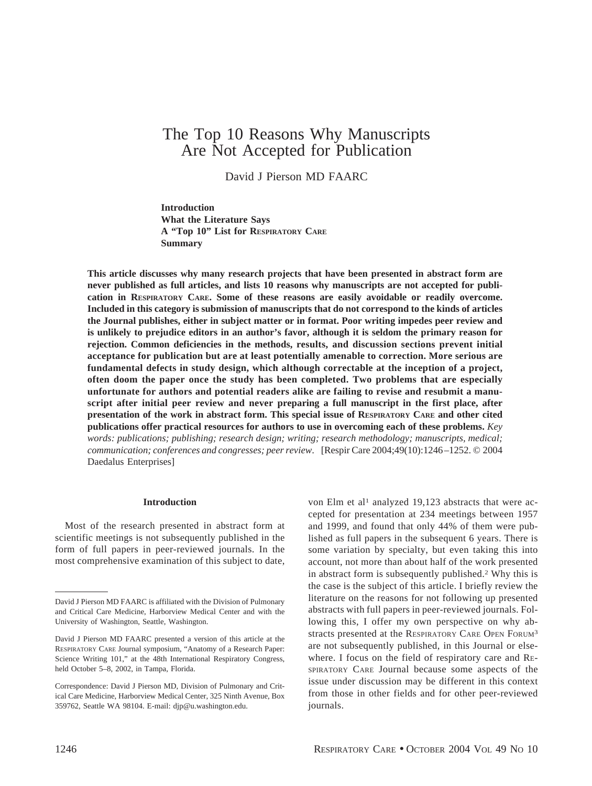# The Top 10 Reasons Why Manuscripts Are Not Accepted for Publication

David J Pierson MD FAARC

**Introduction What the Literature Says A "Top 10" List for RESPIRATORY CARE Summary**

**This article discusses why many research projects that have been presented in abstract form are never published as full articles, and lists 10 reasons why manuscripts are not accepted for publication in RESPIRATORY CARE. Some of these reasons are easily avoidable or readily overcome. Included in this category is submission of manuscripts that do not correspond to the kinds of articles the Journal publishes, either in subject matter or in format. Poor writing impedes peer review and is unlikely to prejudice editors in an author's favor, although it is seldom the primary reason for rejection. Common deficiencies in the methods, results, and discussion sections prevent initial acceptance for publication but are at least potentially amenable to correction. More serious are fundamental defects in study design, which although correctable at the inception of a project, often doom the paper once the study has been completed. Two problems that are especially unfortunate for authors and potential readers alike are failing to revise and resubmit a manuscript after initial peer review and never preparing a full manuscript in the first place, after presentation of the work in abstract form. This special issue of RESPIRATORY CARE and other cited publications offer practical resources for authors to use in overcoming each of these problems.** *Key words: publications; publishing; research design; writing; research methodology; manuscripts, medical; communication; conferences and congresses; peer review*. [Respir Care 2004;49(10):1246–1252. © 2004 Daedalus Enterprises]

#### **Introduction**

Most of the research presented in abstract form at scientific meetings is not subsequently published in the form of full papers in peer-reviewed journals. In the most comprehensive examination of this subject to date,

von Elm et al<sup>1</sup> analyzed 19,123 abstracts that were accepted for presentation at 234 meetings between 1957 and 1999, and found that only 44% of them were published as full papers in the subsequent 6 years. There is some variation by specialty, but even taking this into account, not more than about half of the work presented in abstract form is subsequently published.2 Why this is the case is the subject of this article. I briefly review the literature on the reasons for not following up presented abstracts with full papers in peer-reviewed journals. Following this, I offer my own perspective on why abstracts presented at the RESPIRATORY CARE OPEN FORUM3 are not subsequently published, in this Journal or elsewhere. I focus on the field of respiratory care and RE-SPIRATORY CARE Journal because some aspects of the issue under discussion may be different in this context from those in other fields and for other peer-reviewed journals.

David J Pierson MD FAARC is affiliated with the Division of Pulmonary and Critical Care Medicine, Harborview Medical Center and with the University of Washington, Seattle, Washington.

David J Pierson MD FAARC presented a version of this article at the RESPIRATORY CARE Journal symposium, "Anatomy of a Research Paper: Science Writing 101," at the 48th International Respiratory Congress, held October 5–8, 2002, in Tampa, Florida.

Correspondence: David J Pierson MD, Division of Pulmonary and Critical Care Medicine, Harborview Medical Center, 325 Ninth Avenue, Box 359762, Seattle WA 98104. E-mail: djp@u.washington.edu.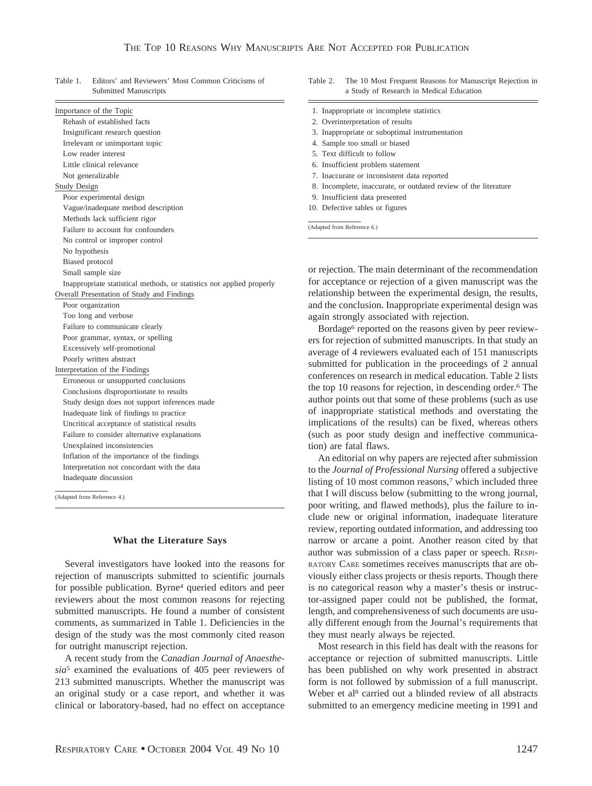| Importance of the Topic                                               |  |  |
|-----------------------------------------------------------------------|--|--|
| Rehash of established facts                                           |  |  |
| Insignificant research question                                       |  |  |
| Irrelevant or unimportant topic                                       |  |  |
| Low reader interest                                                   |  |  |
| Little clinical relevance                                             |  |  |
| Not generalizable                                                     |  |  |
| <b>Study Design</b>                                                   |  |  |
| Poor experimental design                                              |  |  |
| Vague/inadequate method description                                   |  |  |
| Methods lack sufficient rigor                                         |  |  |
| Failure to account for confounders                                    |  |  |
| No control or improper control                                        |  |  |
| No hypothesis                                                         |  |  |
| Biased protocol                                                       |  |  |
| Small sample size                                                     |  |  |
| Inappropriate statistical methods, or statistics not applied properly |  |  |
| Overall Presentation of Study and Findings                            |  |  |
| Poor organization                                                     |  |  |
| Too long and verbose                                                  |  |  |
| Failure to communicate clearly                                        |  |  |
| Poor grammar, syntax, or spelling                                     |  |  |
| Excessively self-promotional                                          |  |  |
| Poorly written abstract                                               |  |  |
| Interpretation of the Findings                                        |  |  |
| Erroneous or unsupported conclusions                                  |  |  |
| Conclusions disproportionate to results                               |  |  |
| Study design does not support inferences made                         |  |  |
| Inadequate link of findings to practice                               |  |  |
| Uncritical acceptance of statistical results                          |  |  |
| Failure to consider alternative explanations                          |  |  |
| Unexplained inconsistencies                                           |  |  |
| Inflation of the importance of the findings                           |  |  |
| Interpretation not concordant with the data                           |  |  |
| Inadequate discussion                                                 |  |  |

Table 1. Editors' and Reviewers' Most Common Criticisms of Submitted Manuscripts

(Adapted from Reference 4.)

#### **What the Literature Says**

Several investigators have looked into the reasons for rejection of manuscripts submitted to scientific journals for possible publication. Byrne4 queried editors and peer reviewers about the most common reasons for rejecting submitted manuscripts. He found a number of consistent comments, as summarized in Table 1. Deficiencies in the design of the study was the most commonly cited reason for outright manuscript rejection.

A recent study from the *Canadian Journal of Anaesthesia*<sup>5</sup> examined the evaluations of 405 peer reviewers of 213 submitted manuscripts. Whether the manuscript was an original study or a case report, and whether it was clinical or laboratory-based, had no effect on acceptance Table 2. The 10 Most Frequent Reasons for Manuscript Rejection in a Study of Research in Medical Education

| 1. Inappropriate or incomplete statistics                       |
|-----------------------------------------------------------------|
| 2. Overinterpretation of results                                |
| 3. Inappropriate or suboptimal instrumentation                  |
| 4. Sample too small or biased                                   |
| 5. Text difficult to follow                                     |
| 6. Insufficient problem statement                               |
| 7. Inaccurate or inconsistent data reported                     |
| 8. Incomplete, inaccurate, or outdated review of the literature |
| 9. Insufficient data presented                                  |
| 10. Defective tables or figures                                 |
| (Adapted from Reference 6.)                                     |
| or rejection. The main determinant of the recommer              |
|                                                                 |

recommendation for acceptance or rejection of a given manuscript was the relationship between the experimental design, the results, and the conclusion. Inappropriate experimental design was again strongly associated with rejection.

Bordage<sup>6</sup> reported on the reasons given by peer reviewers for rejection of submitted manuscripts. In that study an average of 4 reviewers evaluated each of 151 manuscripts submitted for publication in the proceedings of 2 annual conferences on research in medical education. Table 2 lists the top 10 reasons for rejection, in descending order.6 The author points out that some of these problems (such as use of inappropriate statistical methods and overstating the implications of the results) can be fixed, whereas others (such as poor study design and ineffective communication) are fatal flaws.

An editorial on why papers are rejected after submission to the *Journal of Professional Nursing* offered a subjective listing of 10 most common reasons,<sup>7</sup> which included three that I will discuss below (submitting to the wrong journal, poor writing, and flawed methods), plus the failure to include new or original information, inadequate literature review, reporting outdated information, and addressing too narrow or arcane a point. Another reason cited by that author was submission of a class paper or speech. RESPI-RATORY CARE sometimes receives manuscripts that are obviously either class projects or thesis reports. Though there is no categorical reason why a master's thesis or instructor-assigned paper could not be published, the format, length, and comprehensiveness of such documents are usually different enough from the Journal's requirements that they must nearly always be rejected.

Most research in this field has dealt with the reasons for acceptance or rejection of submitted manuscripts. Little has been published on why work presented in abstract form is not followed by submission of a full manuscript. Weber et al<sup>8</sup> carried out a blinded review of all abstracts submitted to an emergency medicine meeting in 1991 and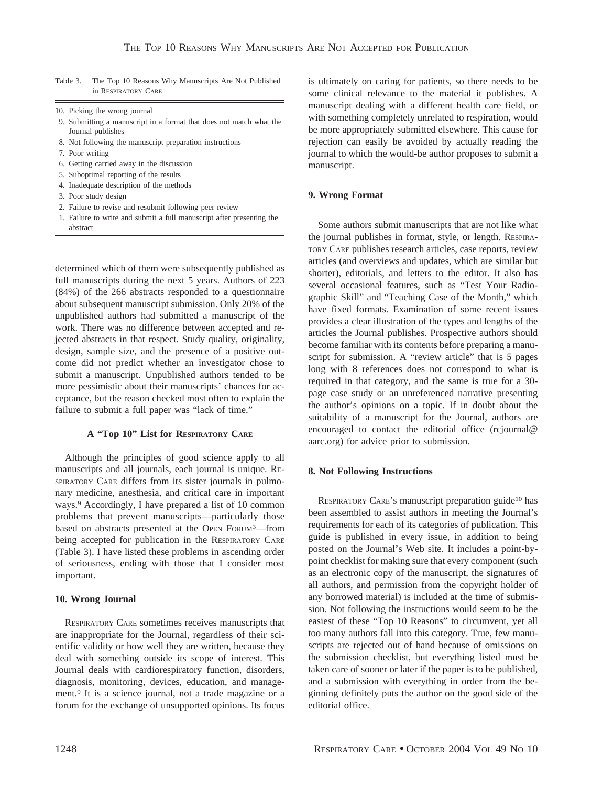Table 3. The Top 10 Reasons Why Manuscripts Are Not Published in RESPIRATORY CARE

- 10. Picking the wrong journal
- 9. Submitting a manuscript in a format that does not match what the Journal publishes
- 8. Not following the manuscript preparation instructions
- 7. Poor writing
- 6. Getting carried away in the discussion
- 5. Suboptimal reporting of the results
- 4. Inadequate description of the methods
- 3. Poor study design
- 2. Failure to revise and resubmit following peer review
- 1. Failure to write and submit a full manuscript after presenting the abstract

determined which of them were subsequently published as full manuscripts during the next 5 years. Authors of 223 (84%) of the 266 abstracts responded to a questionnaire about subsequent manuscript submission. Only 20% of the unpublished authors had submitted a manuscript of the work. There was no difference between accepted and rejected abstracts in that respect. Study quality, originality, design, sample size, and the presence of a positive outcome did not predict whether an investigator chose to submit a manuscript. Unpublished authors tended to be more pessimistic about their manuscripts' chances for acceptance, but the reason checked most often to explain the failure to submit a full paper was "lack of time."

## **A "Top 10" List for RESPIRATORY CARE**

Although the principles of good science apply to all manuscripts and all journals, each journal is unique. RE-SPIRATORY CARE differs from its sister journals in pulmonary medicine, anesthesia, and critical care in important ways.9 Accordingly, I have prepared a list of 10 common problems that prevent manuscripts—particularly those based on abstracts presented at the OPEN FORUM3—from being accepted for publication in the RESPIRATORY CARE (Table 3). I have listed these problems in ascending order of seriousness, ending with those that I consider most important.

## **10. Wrong Journal**

RESPIRATORY CARE sometimes receives manuscripts that are inappropriate for the Journal, regardless of their scientific validity or how well they are written, because they deal with something outside its scope of interest. This Journal deals with cardiorespiratory function, disorders, diagnosis, monitoring, devices, education, and management.9 It is a science journal, not a trade magazine or a forum for the exchange of unsupported opinions. Its focus is ultimately on caring for patients, so there needs to be some clinical relevance to the material it publishes. A manuscript dealing with a different health care field, or with something completely unrelated to respiration, would be more appropriately submitted elsewhere. This cause for rejection can easily be avoided by actually reading the journal to which the would-be author proposes to submit a manuscript.

## **9. Wrong Format**

Some authors submit manuscripts that are not like what the journal publishes in format, style, or length. RESPIRA-TORY CARE publishes research articles, case reports, review articles (and overviews and updates, which are similar but shorter), editorials, and letters to the editor. It also has several occasional features, such as "Test Your Radiographic Skill" and "Teaching Case of the Month," which have fixed formats. Examination of some recent issues provides a clear illustration of the types and lengths of the articles the Journal publishes. Prospective authors should become familiar with its contents before preparing a manuscript for submission. A "review article" that is 5 pages long with 8 references does not correspond to what is required in that category, and the same is true for a 30 page case study or an unreferenced narrative presenting the author's opinions on a topic. If in doubt about the suitability of a manuscript for the Journal, authors are encouraged to contact the editorial office (rcjournal@ aarc.org) for advice prior to submission.

## **8. Not Following Instructions**

RESPIRATORY CARE's manuscript preparation guide<sup>10</sup> has been assembled to assist authors in meeting the Journal's requirements for each of its categories of publication. This guide is published in every issue, in addition to being posted on the Journal's Web site. It includes a point-bypoint checklist for making sure that every component (such as an electronic copy of the manuscript, the signatures of all authors, and permission from the copyright holder of any borrowed material) is included at the time of submission. Not following the instructions would seem to be the easiest of these "Top 10 Reasons" to circumvent, yet all too many authors fall into this category. True, few manuscripts are rejected out of hand because of omissions on the submission checklist, but everything listed must be taken care of sooner or later if the paper is to be published, and a submission with everything in order from the beginning definitely puts the author on the good side of the editorial office.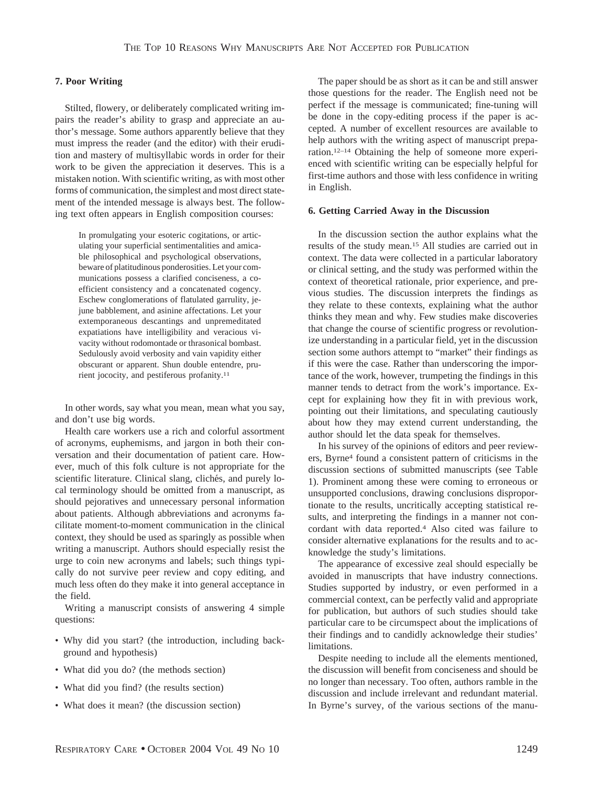## **7. Poor Writing**

Stilted, flowery, or deliberately complicated writing impairs the reader's ability to grasp and appreciate an author's message. Some authors apparently believe that they must impress the reader (and the editor) with their erudition and mastery of multisyllabic words in order for their work to be given the appreciation it deserves. This is a mistaken notion. With scientific writing, as with most other forms of communication, the simplest and most direct statement of the intended message is always best. The following text often appears in English composition courses:

In promulgating your esoteric cogitations, or articulating your superficial sentimentalities and amicable philosophical and psychological observations, beware of platitudinous ponderosities. Let your communications possess a clarified conciseness, a coefficient consistency and a concatenated cogency. Eschew conglomerations of flatulated garrulity, jejune babblement, and asinine affectations. Let your extemporaneous descantings and unpremeditated expatiations have intelligibility and veracious vivacity without rodomontade or thrasonical bombast. Sedulously avoid verbosity and vain vapidity either obscurant or apparent. Shun double entendre, prurient jococity, and pestiferous profanity.11

In other words, say what you mean, mean what you say, and don't use big words.

Health care workers use a rich and colorful assortment of acronyms, euphemisms, and jargon in both their conversation and their documentation of patient care. However, much of this folk culture is not appropriate for the scientific literature. Clinical slang, clichés, and purely local terminology should be omitted from a manuscript, as should pejoratives and unnecessary personal information about patients. Although abbreviations and acronyms facilitate moment-to-moment communication in the clinical context, they should be used as sparingly as possible when writing a manuscript. Authors should especially resist the urge to coin new acronyms and labels; such things typically do not survive peer review and copy editing, and much less often do they make it into general acceptance in the field.

Writing a manuscript consists of answering 4 simple questions:

- Why did you start? (the introduction, including background and hypothesis)
- What did you do? (the methods section)
- What did you find? (the results section)
- What does it mean? (the discussion section)

The paper should be as short as it can be and still answer those questions for the reader. The English need not be perfect if the message is communicated; fine-tuning will be done in the copy-editing process if the paper is accepted. A number of excellent resources are available to help authors with the writing aspect of manuscript preparation.12–14 Obtaining the help of someone more experienced with scientific writing can be especially helpful for first-time authors and those with less confidence in writing in English.

#### **6. Getting Carried Away in the Discussion**

In the discussion section the author explains what the results of the study mean.15 All studies are carried out in context. The data were collected in a particular laboratory or clinical setting, and the study was performed within the context of theoretical rationale, prior experience, and previous studies. The discussion interprets the findings as they relate to these contexts, explaining what the author thinks they mean and why. Few studies make discoveries that change the course of scientific progress or revolutionize understanding in a particular field, yet in the discussion section some authors attempt to "market" their findings as if this were the case. Rather than underscoring the importance of the work, however, trumpeting the findings in this manner tends to detract from the work's importance. Except for explaining how they fit in with previous work, pointing out their limitations, and speculating cautiously about how they may extend current understanding, the author should let the data speak for themselves.

In his survey of the opinions of editors and peer reviewers, Byrne4 found a consistent pattern of criticisms in the discussion sections of submitted manuscripts (see Table 1). Prominent among these were coming to erroneous or unsupported conclusions, drawing conclusions disproportionate to the results, uncritically accepting statistical results, and interpreting the findings in a manner not concordant with data reported.4 Also cited was failure to consider alternative explanations for the results and to acknowledge the study's limitations.

The appearance of excessive zeal should especially be avoided in manuscripts that have industry connections. Studies supported by industry, or even performed in a commercial context, can be perfectly valid and appropriate for publication, but authors of such studies should take particular care to be circumspect about the implications of their findings and to candidly acknowledge their studies' limitations.

Despite needing to include all the elements mentioned, the discussion will benefit from conciseness and should be no longer than necessary. Too often, authors ramble in the discussion and include irrelevant and redundant material. In Byrne's survey, of the various sections of the manu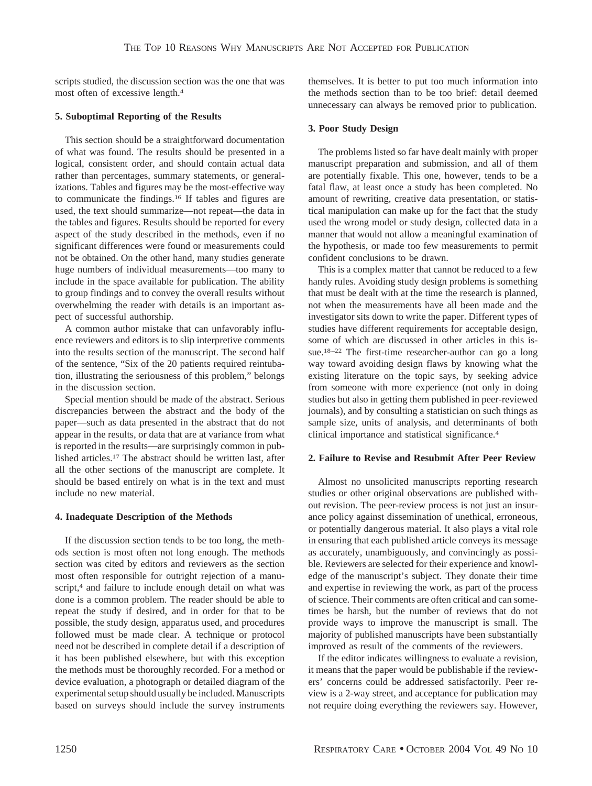scripts studied, the discussion section was the one that was most often of excessive length.4

## **5. Suboptimal Reporting of the Results**

This section should be a straightforward documentation of what was found. The results should be presented in a logical, consistent order, and should contain actual data rather than percentages, summary statements, or generalizations. Tables and figures may be the most-effective way to communicate the findings.16 If tables and figures are used, the text should summarize—not repeat—the data in the tables and figures. Results should be reported for every aspect of the study described in the methods, even if no significant differences were found or measurements could not be obtained. On the other hand, many studies generate huge numbers of individual measurements—too many to include in the space available for publication. The ability to group findings and to convey the overall results without overwhelming the reader with details is an important aspect of successful authorship.

A common author mistake that can unfavorably influence reviewers and editors is to slip interpretive comments into the results section of the manuscript. The second half of the sentence, "Six of the 20 patients required reintubation, illustrating the seriousness of this problem," belongs in the discussion section.

Special mention should be made of the abstract. Serious discrepancies between the abstract and the body of the paper—such as data presented in the abstract that do not appear in the results, or data that are at variance from what is reported in the results—are surprisingly common in published articles.17 The abstract should be written last, after all the other sections of the manuscript are complete. It should be based entirely on what is in the text and must include no new material.

### **4. Inadequate Description of the Methods**

If the discussion section tends to be too long, the methods section is most often not long enough. The methods section was cited by editors and reviewers as the section most often responsible for outright rejection of a manuscript,<sup>4</sup> and failure to include enough detail on what was done is a common problem. The reader should be able to repeat the study if desired, and in order for that to be possible, the study design, apparatus used, and procedures followed must be made clear. A technique or protocol need not be described in complete detail if a description of it has been published elsewhere, but with this exception the methods must be thoroughly recorded. For a method or device evaluation, a photograph or detailed diagram of the experimental setup should usually be included. Manuscripts based on surveys should include the survey instruments themselves. It is better to put too much information into the methods section than to be too brief: detail deemed unnecessary can always be removed prior to publication.

## **3. Poor Study Design**

The problems listed so far have dealt mainly with proper manuscript preparation and submission, and all of them are potentially fixable. This one, however, tends to be a fatal flaw, at least once a study has been completed. No amount of rewriting, creative data presentation, or statistical manipulation can make up for the fact that the study used the wrong model or study design, collected data in a manner that would not allow a meaningful examination of the hypothesis, or made too few measurements to permit confident conclusions to be drawn.

This is a complex matter that cannot be reduced to a few handy rules. Avoiding study design problems is something that must be dealt with at the time the research is planned, not when the measurements have all been made and the investigator sits down to write the paper. Different types of studies have different requirements for acceptable design, some of which are discussed in other articles in this issue.18–22 The first-time researcher-author can go a long way toward avoiding design flaws by knowing what the existing literature on the topic says, by seeking advice from someone with more experience (not only in doing studies but also in getting them published in peer-reviewed journals), and by consulting a statistician on such things as sample size, units of analysis, and determinants of both clinical importance and statistical significance.4

### **2. Failure to Revise and Resubmit After Peer Review**

Almost no unsolicited manuscripts reporting research studies or other original observations are published without revision. The peer-review process is not just an insurance policy against dissemination of unethical, erroneous, or potentially dangerous material. It also plays a vital role in ensuring that each published article conveys its message as accurately, unambiguously, and convincingly as possible. Reviewers are selected for their experience and knowledge of the manuscript's subject. They donate their time and expertise in reviewing the work, as part of the process of science. Their comments are often critical and can sometimes be harsh, but the number of reviews that do not provide ways to improve the manuscript is small. The majority of published manuscripts have been substantially improved as result of the comments of the reviewers.

If the editor indicates willingness to evaluate a revision, it means that the paper would be publishable if the reviewers' concerns could be addressed satisfactorily. Peer review is a 2-way street, and acceptance for publication may not require doing everything the reviewers say. However,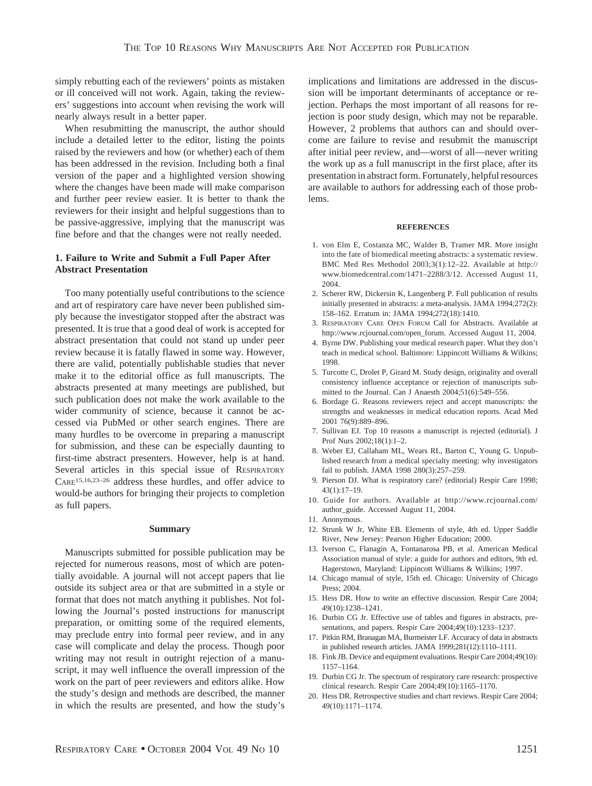simply rebutting each of the reviewers' points as mistaken or ill conceived will not work. Again, taking the reviewers' suggestions into account when revising the work will nearly always result in a better paper.

When resubmitting the manuscript, the author should include a detailed letter to the editor, listing the points raised by the reviewers and how (or whether) each of them has been addressed in the revision. Including both a final version of the paper and a highlighted version showing where the changes have been made will make comparison and further peer review easier. It is better to thank the reviewers for their insight and helpful suggestions than to be passive-aggressive, implying that the manuscript was fine before and that the changes were not really needed.

## **1. Failure to Write and Submit a Full Paper After Abstract Presentation**

Too many potentially useful contributions to the science and art of respiratory care have never been published simply because the investigator stopped after the abstract was presented. It is true that a good deal of work is accepted for abstract presentation that could not stand up under peer review because it is fatally flawed in some way. However, there are valid, potentially publishable studies that never make it to the editorial office as full manuscripts. The abstracts presented at many meetings are published, but such publication does not make the work available to the wider community of science, because it cannot be accessed via PubMed or other search engines. There are many hurdles to be overcome in preparing a manuscript for submission, and these can be especially daunting to first-time abstract presenters. However, help is at hand. Several articles in this special issue of RESPIRATORY CARE15,16,23–26 address these hurdles, and offer advice to would-be authors for bringing their projects to completion as full papers.

#### **Summary**

Manuscripts submitted for possible publication may be rejected for numerous reasons, most of which are potentially avoidable. A journal will not accept papers that lie outside its subject area or that are submitted in a style or format that does not match anything it publishes. Not following the Journal's posted instructions for manuscript preparation, or omitting some of the required elements, may preclude entry into formal peer review, and in any case will complicate and delay the process. Though poor writing may not result in outright rejection of a manuscript, it may well influence the overall impression of the work on the part of peer reviewers and editors alike. How the study's design and methods are described, the manner in which the results are presented, and how the study's implications and limitations are addressed in the discussion will be important determinants of acceptance or rejection. Perhaps the most important of all reasons for rejection is poor study design, which may not be reparable. However, 2 problems that authors can and should overcome are failure to revise and resubmit the manuscript after initial peer review, and—worst of all—never writing the work up as a full manuscript in the first place, after its presentation in abstract form. Fortunately, helpful resources are available to authors for addressing each of those problems.

#### **REFERENCES**

- 1. von Elm E, Costanza MC, Walder B, Tramer MR. More insight into the fate of biomedical meeting abstracts: a systematic review. BMC Med Res Methodol 2003;3(1):12–22. Available at http:// www.biomedcentral.com/1471–2288/3/12. Accessed August 11, 2004.
- 2. Scherer RW, Dickersin K, Langenberg P. Full publication of results initially presented in abstracts: a meta-analysis. JAMA 1994;272(2): 158–162. Erratum in: JAMA 1994;272(18):1410.
- 3. RESPIRATORY CARE OPEN FORUM Call for Abstracts. Available at http://www.rcjournal.com/open\_forum. Accessed August 11, 2004.
- 4. Byrne DW. Publishing your medical research paper. What they don't teach in medical school. Baltimore: Lippincott Williams & Wilkins; 1998.
- 5. Turcotte C, Drolet P, Girard M. Study design, originality and overall consistency influence acceptance or rejection of manuscripts submitted to the Journal. Can J Anaesth 2004;51(6):549–556.
- 6. Bordage G. Reasons reviewers reject and accept manuscripts: the strengths and weaknesses in medical education reports. Acad Med 2001 76(9):889–896.
- 7. Sullivan EJ. Top 10 reasons a manuscript is rejected (editorial). J Prof Nurs 2002;18(1):1–2.
- 8. Weber EJ, Callaham ML, Wears RL, Barton C, Young G. Unpublished research from a medical specialty meeting: why investigators fail to publish. JAMA 1998 280(3):257–259.
- 9. Pierson DJ. What is respiratory care? (editorial) Respir Care 1998; 43(1):17–19.
- 10. Guide for authors. Available at http://www.rcjournal.com/ author\_guide. Accessed August 11, 2004.
- 11. Anonymous.
- 12. Strunk W Jr, White EB. Elements of style, 4th ed. Upper Saddle River, New Jersey: Pearson Higher Education; 2000.
- 13. Iverson C, Flanagin A, Fontanarosa PB, et al. American Medical Association manual of style: a guide for authors and editors, 9th ed. Hagerstown, Maryland: Lippincott Williams & Wilkins; 1997.
- 14. Chicago manual of style, 15th ed. Chicago: University of Chicago Press; 2004.
- 15. Hess DR. How to write an effective discussion. Respir Care 2004; 49(10):1238–1241.
- 16. Durbin CG Jr. Effective use of tables and figures in abstracts, presentations, and papers. Respir Care 2004;49(10):1233–1237.
- 17. Pitkin RM, Branagan MA, Burmeister LF. Accuracy of data in abstracts in published research articles. JAMA 1999;281(12):1110–1111.
- 18. Fink JB. Device and equipment evaluations. Respir Care 2004;49(10): 1157–1164.
- 19. Durbin CG Jr. The spectrum of respiratory care research: prospective clinical research. Respir Care 2004;49(10):1165–1170.
- 20. Hess DR. Retrospective studies and chart reviews. Respir Care 2004;  $49(10):1171-1174$ .